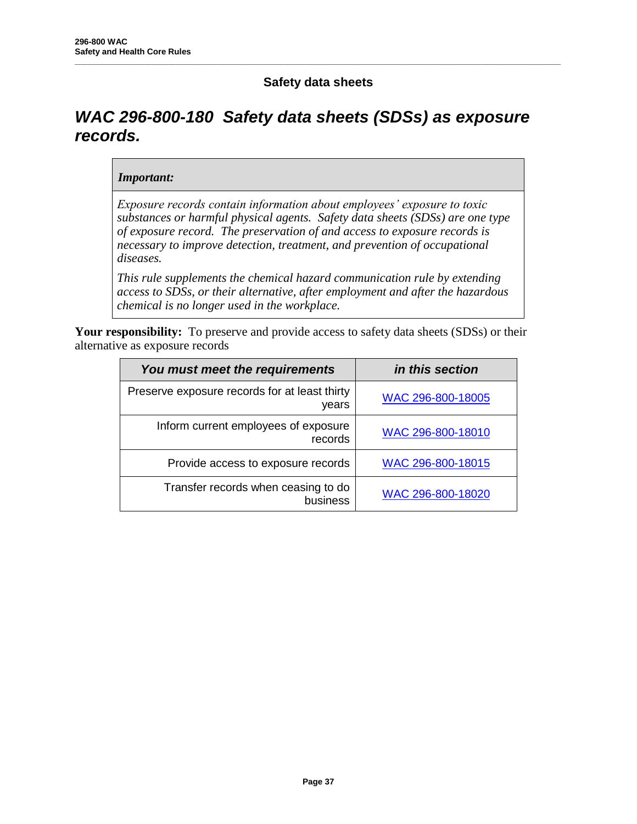# **Safety data sheets**

**\_\_\_\_\_\_\_\_\_\_\_\_\_\_\_\_\_\_\_\_\_\_\_\_\_\_\_\_\_\_\_\_\_\_\_\_\_\_\_\_\_\_\_\_\_\_\_\_\_\_\_\_\_\_\_\_\_\_\_\_\_\_\_\_\_\_\_\_\_\_\_\_\_\_\_\_\_\_\_\_\_\_\_\_\_\_\_\_\_\_\_\_\_\_\_\_\_\_\_\_\_\_\_\_\_**

# *WAC 296-800-180 Safety data sheets (SDSs) as exposure records.*

#### *Important:*

*Exposure records contain information about employees' exposure to toxic substances or harmful physical agents. Safety data sheets (SDSs) are one type of exposure record. The preservation of and access to exposure records is necessary to improve detection, treatment, and prevention of occupational diseases.*

*This rule supplements the chemical hazard communication rule by extending access to SDSs, or their alternative, after employment and after the hazardous chemical is no longer used in the workplace.*

Your responsibility: To preserve and provide access to safety data sheets (SDSs) or their alternative as exposure records

| You must meet the requirements                         | in this section   |
|--------------------------------------------------------|-------------------|
| Preserve exposure records for at least thirty<br>years | WAC 296-800-18005 |
| Inform current employees of exposure<br>records        | WAC 296-800-18010 |
| Provide access to exposure records                     | WAC 296-800-18015 |
| Transfer records when ceasing to do<br>business        | WAC 296-800-18020 |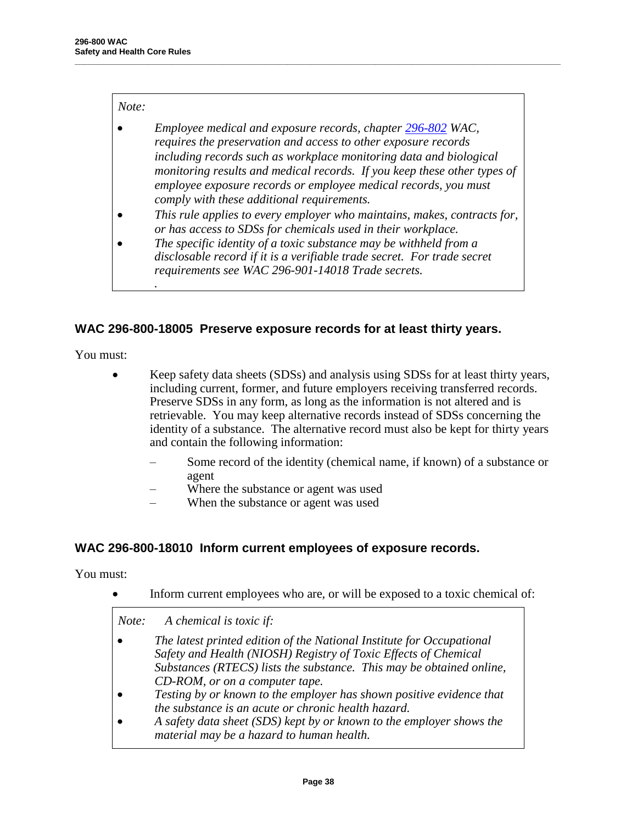#### *Note:*

*.*

 *Employee medical and exposure records, chapter 296-802 WAC, requires the preservation and access to other exposure records including records such as workplace monitoring data and biological monitoring results and medical records. If you keep these other types of employee exposure records or employee medical records, you must comply with these additional requirements.*

**\_\_\_\_\_\_\_\_\_\_\_\_\_\_\_\_\_\_\_\_\_\_\_\_\_\_\_\_\_\_\_\_\_\_\_\_\_\_\_\_\_\_\_\_\_\_\_\_\_\_\_\_\_\_\_\_\_\_\_\_\_\_\_\_\_\_\_\_\_\_\_\_\_\_\_\_\_\_\_\_\_\_\_\_\_\_\_\_\_\_\_\_\_\_\_\_\_\_\_\_\_\_\_\_\_**

- *This rule applies to every employer who maintains, makes, contracts for, or has access to SDSs for chemicals used in their workplace.*
- *The specific identity of a toxic substance may be withheld from a disclosable record if it is a verifiable trade secret. For trade secret requirements see WAC 296-901-14018 Trade secrets.*

## **WAC 296-800-18005 Preserve exposure records for at least thirty years.**

You must:

- Keep safety data sheets (SDSs) and analysis using SDSs for at least thirty years, including current, former, and future employers receiving transferred records. Preserve SDSs in any form, as long as the information is not altered and is retrievable. You may keep alternative records instead of SDSs concerning the identity of a substance. The alternative record must also be kept for thirty years and contain the following information:
	- Some record of the identity (chemical name, if known) of a substance or agent
	- Where the substance or agent was used
	- When the substance or agent was used

#### **WAC 296-800-18010 Inform current employees of exposure records.**

You must:

Inform current employees who are, or will be exposed to a toxic chemical of:

*Note: A chemical is toxic if:*

- *The latest printed edition of the National Institute for Occupational Safety and Health (NIOSH) Registry of Toxic Effects of Chemical Substances (RTECS) lists the substance. This may be obtained online, CD-ROM, or on a computer tape.*
- *Testing by or known to the employer has shown positive evidence that the substance is an acute or chronic health hazard.*
- *A safety data sheet (SDS) kept by or known to the employer shows the material may be a hazard to human health.*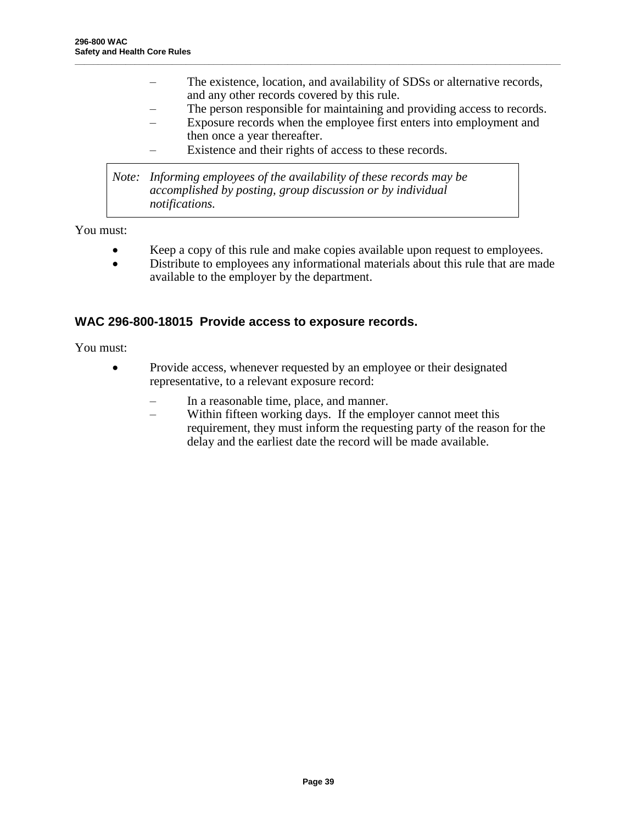– The existence, location, and availability of SDSs or alternative records, and any other records covered by this rule.

**\_\_\_\_\_\_\_\_\_\_\_\_\_\_\_\_\_\_\_\_\_\_\_\_\_\_\_\_\_\_\_\_\_\_\_\_\_\_\_\_\_\_\_\_\_\_\_\_\_\_\_\_\_\_\_\_\_\_\_\_\_\_\_\_\_\_\_\_\_\_\_\_\_\_\_\_\_\_\_\_\_\_\_\_\_\_\_\_\_\_\_\_\_\_\_\_\_\_\_\_\_\_\_\_\_**

- The person responsible for maintaining and providing access to records.
- Exposure records when the employee first enters into employment and then once a year thereafter.
- Existence and their rights of access to these records.

*Note: Informing employees of the availability of these records may be accomplished by posting, group discussion or by individual notifications.*

You must:

- Keep a copy of this rule and make copies available upon request to employees.
- Distribute to employees any informational materials about this rule that are made available to the employer by the department.

### **WAC 296-800-18015 Provide access to exposure records.**

You must:

- Provide access, whenever requested by an employee or their designated representative, to a relevant exposure record:
	- In a reasonable time, place, and manner.
	- Within fifteen working days. If the employer cannot meet this requirement, they must inform the requesting party of the reason for the delay and the earliest date the record will be made available.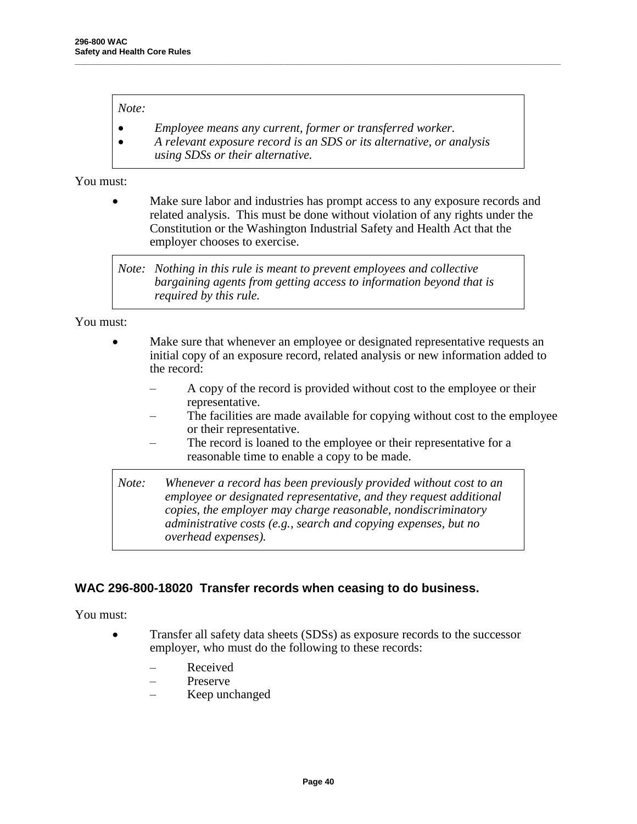#### *Note:*

- *Employee means any current, former or transferred worker.*
- *A relevant exposure record is an SDS or its alternative, or analysis using SDSs or their alternative.*

**\_\_\_\_\_\_\_\_\_\_\_\_\_\_\_\_\_\_\_\_\_\_\_\_\_\_\_\_\_\_\_\_\_\_\_\_\_\_\_\_\_\_\_\_\_\_\_\_\_\_\_\_\_\_\_\_\_\_\_\_\_\_\_\_\_\_\_\_\_\_\_\_\_\_\_\_\_\_\_\_\_\_\_\_\_\_\_\_\_\_\_\_\_\_\_\_\_\_\_\_\_\_\_\_\_**

You must:

 Make sure labor and industries has prompt access to any exposure records and related analysis. This must be done without violation of any rights under the Constitution or the Washington Industrial Safety and Health Act that the employer chooses to exercise.

*Note: Nothing in this rule is meant to prevent employees and collective bargaining agents from getting access to information beyond that is required by this rule.*

You must:

- Make sure that whenever an employee or designated representative requests an initial copy of an exposure record, related analysis or new information added to the record:
	- A copy of the record is provided without cost to the employee or their representative.
	- The facilities are made available for copying without cost to the employee or their representative.
	- The record is loaned to the employee or their representative for a reasonable time to enable a copy to be made.

*Note: Whenever a record has been previously provided without cost to an employee or designated representative, and they request additional copies, the employer may charge reasonable, nondiscriminatory administrative costs (e.g., search and copying expenses, but no overhead expenses).*

## **WAC 296-800-18020 Transfer records when ceasing to do business.**

You must:

- Transfer all safety data sheets (SDSs) as exposure records to the successor employer, who must do the following to these records:
	- Received
	- Preserve
	- Keep unchanged